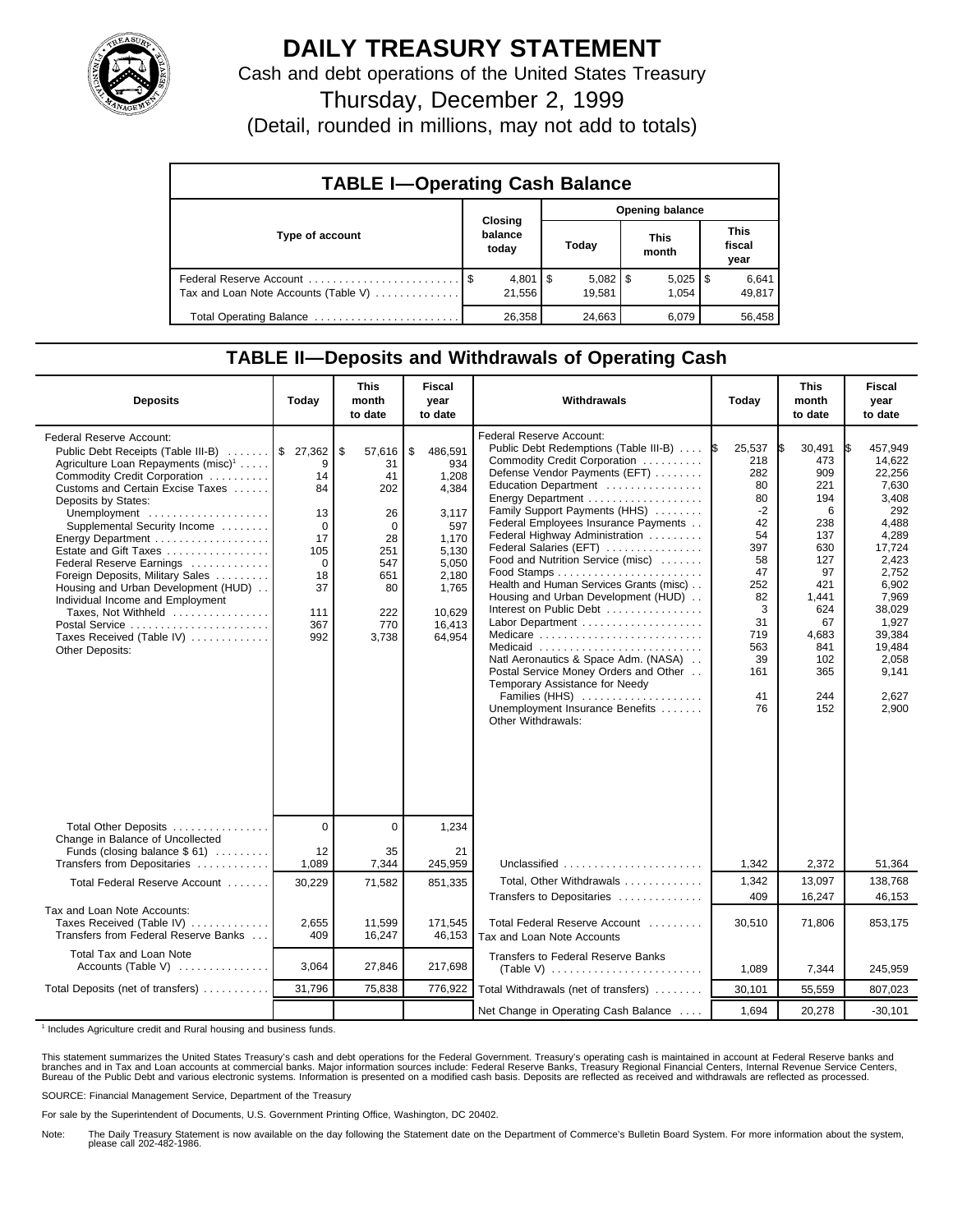

## **DAILY TREASURY STATEMENT**

Cash and debt operations of the United States Treasury

Thursday, December 2, 1999

(Detail, rounded in millions, may not add to totals)

| <b>TABLE I-Operating Cash Balance</b> |  |                              |                        |                        |  |                       |  |                               |
|---------------------------------------|--|------------------------------|------------------------|------------------------|--|-----------------------|--|-------------------------------|
|                                       |  |                              | <b>Opening balance</b> |                        |  |                       |  |                               |
| Type of account                       |  | Closing<br>balance<br>today  |                        | Today                  |  | <b>This</b><br>month  |  | <b>This</b><br>fiscal<br>year |
| Tax and Loan Note Accounts (Table V)  |  | $4,801$ $\sqrt{5}$<br>21.556 |                        | $5,082$   \$<br>19.581 |  | $5,025$   \$<br>1.054 |  | 6,641<br>49,817               |
| Total Operating Balance               |  | 26.358                       |                        | 24.663                 |  | 6.079                 |  | 56.458                        |

## **TABLE II—Deposits and Withdrawals of Operating Cash**

| <b>Deposits</b>                                                                                                                                                                                                                                                                                                                                                                                                                                                                                                           | Today                                                                                                                   | <b>This</b><br>month<br>to date                                                                        | <b>Fiscal</b><br>year<br>to date                                                                                                  | Withdrawals                                                                                                                                                                                                                                                                                                                                                                                                                                                                                                                                                                                                                                                                                 | Today                                                                                                                                               | <b>This</b><br>month<br>to date                                                                                                                    | <b>Fiscal</b><br>year<br>to date                                                                                                                                                                       |
|---------------------------------------------------------------------------------------------------------------------------------------------------------------------------------------------------------------------------------------------------------------------------------------------------------------------------------------------------------------------------------------------------------------------------------------------------------------------------------------------------------------------------|-------------------------------------------------------------------------------------------------------------------------|--------------------------------------------------------------------------------------------------------|-----------------------------------------------------------------------------------------------------------------------------------|---------------------------------------------------------------------------------------------------------------------------------------------------------------------------------------------------------------------------------------------------------------------------------------------------------------------------------------------------------------------------------------------------------------------------------------------------------------------------------------------------------------------------------------------------------------------------------------------------------------------------------------------------------------------------------------------|-----------------------------------------------------------------------------------------------------------------------------------------------------|----------------------------------------------------------------------------------------------------------------------------------------------------|--------------------------------------------------------------------------------------------------------------------------------------------------------------------------------------------------------|
| Federal Reserve Account:<br>Public Debt Receipts (Table III-B)<br>Agriculture Loan Repayments (misc) <sup>1</sup><br>Commodity Credit Corporation<br>Customs and Certain Excise Taxes<br>Deposits by States:<br>Unemployment<br>Supplemental Security Income<br>Estate and Gift Taxes<br>Federal Reserve Earnings<br>Foreign Deposits, Military Sales<br>Housing and Urban Development (HUD)<br>Individual Income and Employment<br>Taxes, Not Withheld<br>Postal Service<br>Taxes Received (Table IV)<br>Other Deposits: | $\frac{1}{2}$ 27,362 \$<br>q<br>14<br>84<br>13<br>$\mathbf 0$<br>17<br>105<br>$\Omega$<br>18<br>37<br>111<br>367<br>992 | 57,616<br>31<br>41<br>202<br>26<br>$\mathbf 0$<br>28<br>251<br>547<br>651<br>80<br>222<br>770<br>3,738 | \$<br>486,591<br>934<br>1,208<br>4,384<br>3,117<br>597<br>1.170<br>5,130<br>5,050<br>2.180<br>1,765<br>10.629<br>16,413<br>64.954 | Federal Reserve Account:<br>Public Debt Redemptions (Table III-B)<br>Commodity Credit Corporation<br>Defense Vendor Payments (EFT)<br>Education Department<br>Family Support Payments (HHS)<br>Federal Employees Insurance Payments<br>Federal Highway Administration<br>Federal Salaries (EFT)<br>Food and Nutrition Service (misc)<br>Health and Human Services Grants (misc)<br>Housing and Urban Development (HUD)<br>Interest on Public Debt<br>Labor Department<br>Medicare<br>Medicaid<br>Natl Aeronautics & Space Adm. (NASA)<br>Postal Service Money Orders and Other<br>Temporary Assistance for Needy<br>Families (HHS)<br>Unemployment Insurance Benefits<br>Other Withdrawals: | 25,537<br><b>IS</b><br>218<br>282<br>80<br>80<br>$-2$<br>42<br>54<br>397<br>58<br>47<br>252<br>82<br>3<br>31<br>719<br>563<br>39<br>161<br>41<br>76 | 30,491<br>473<br>909<br>221<br>194<br>6<br>238<br>137<br>630<br>127<br>97<br>421<br>1,441<br>624<br>67<br>4,683<br>841<br>102<br>365<br>244<br>152 | 457,949<br>IS.<br>14.622<br>22.256<br>7,630<br>3,408<br>292<br>4,488<br>4.289<br>17,724<br>2,423<br>2,752<br>6,902<br>7,969<br>38.029<br>1,927<br>39,384<br>19,484<br>2.058<br>9,141<br>2,627<br>2,900 |
| Total Other Deposits<br>Change in Balance of Uncollected                                                                                                                                                                                                                                                                                                                                                                                                                                                                  | $\mathbf 0$                                                                                                             | 0                                                                                                      | 1,234                                                                                                                             |                                                                                                                                                                                                                                                                                                                                                                                                                                                                                                                                                                                                                                                                                             |                                                                                                                                                     |                                                                                                                                                    |                                                                                                                                                                                                        |
| Funds (closing balance $$61)$<br>Transfers from Depositaries                                                                                                                                                                                                                                                                                                                                                                                                                                                              | 12<br>1,089                                                                                                             | 35<br>7,344                                                                                            | 21<br>245,959                                                                                                                     | Unclassified                                                                                                                                                                                                                                                                                                                                                                                                                                                                                                                                                                                                                                                                                | 1,342                                                                                                                                               | 2,372                                                                                                                                              | 51,364                                                                                                                                                                                                 |
| Total Federal Reserve Account                                                                                                                                                                                                                                                                                                                                                                                                                                                                                             | 30,229                                                                                                                  | 71,582                                                                                                 | 851,335                                                                                                                           | Total, Other Withdrawals<br>Transfers to Depositaries                                                                                                                                                                                                                                                                                                                                                                                                                                                                                                                                                                                                                                       | 1,342<br>409                                                                                                                                        | 13,097<br>16,247                                                                                                                                   | 138,768<br>46,153                                                                                                                                                                                      |
| Tax and Loan Note Accounts:<br>Taxes Received (Table IV)<br>Transfers from Federal Reserve Banks                                                                                                                                                                                                                                                                                                                                                                                                                          | 2,655<br>409                                                                                                            | 11,599<br>16,247                                                                                       | 171,545<br>46,153                                                                                                                 | Total Federal Reserve Account<br>Tax and Loan Note Accounts                                                                                                                                                                                                                                                                                                                                                                                                                                                                                                                                                                                                                                 | 30,510                                                                                                                                              | 71,806                                                                                                                                             | 853,175                                                                                                                                                                                                |
| Total Tax and Loan Note<br>Accounts (Table V) $\dots\dots\dots\dots$                                                                                                                                                                                                                                                                                                                                                                                                                                                      | 3,064                                                                                                                   | 27,846                                                                                                 | 217,698                                                                                                                           | <b>Transfers to Federal Reserve Banks</b>                                                                                                                                                                                                                                                                                                                                                                                                                                                                                                                                                                                                                                                   | 1.089                                                                                                                                               | 7,344                                                                                                                                              | 245.959                                                                                                                                                                                                |
| Total Deposits (net of transfers)                                                                                                                                                                                                                                                                                                                                                                                                                                                                                         | 31,796                                                                                                                  | 75,838                                                                                                 | 776,922                                                                                                                           | Total Withdrawals (net of transfers)                                                                                                                                                                                                                                                                                                                                                                                                                                                                                                                                                                                                                                                        | 30,101                                                                                                                                              | 55,559                                                                                                                                             | 807,023                                                                                                                                                                                                |
|                                                                                                                                                                                                                                                                                                                                                                                                                                                                                                                           |                                                                                                                         |                                                                                                        |                                                                                                                                   | Net Change in Operating Cash Balance                                                                                                                                                                                                                                                                                                                                                                                                                                                                                                                                                                                                                                                        | 1.694                                                                                                                                               | 20,278                                                                                                                                             | $-30,101$                                                                                                                                                                                              |

<sup>1</sup> Includes Agriculture credit and Rural housing and business funds.

This statement summarizes the United States Treasury's cash and debt operations for the Federal Government. Treasury's operating cash is maintained in account at Federal Reserve banks and<br>branches and in Tax and Loan accou

SOURCE: Financial Management Service, Department of the Treasury

For sale by the Superintendent of Documents, U.S. Government Printing Office, Washington, DC 20402.

Note: The Daily Treasury Statement is now available on the day following the Statement date on the Department of Commerce's Bulletin Board System. For more information about the system, please call 202-482-1986.